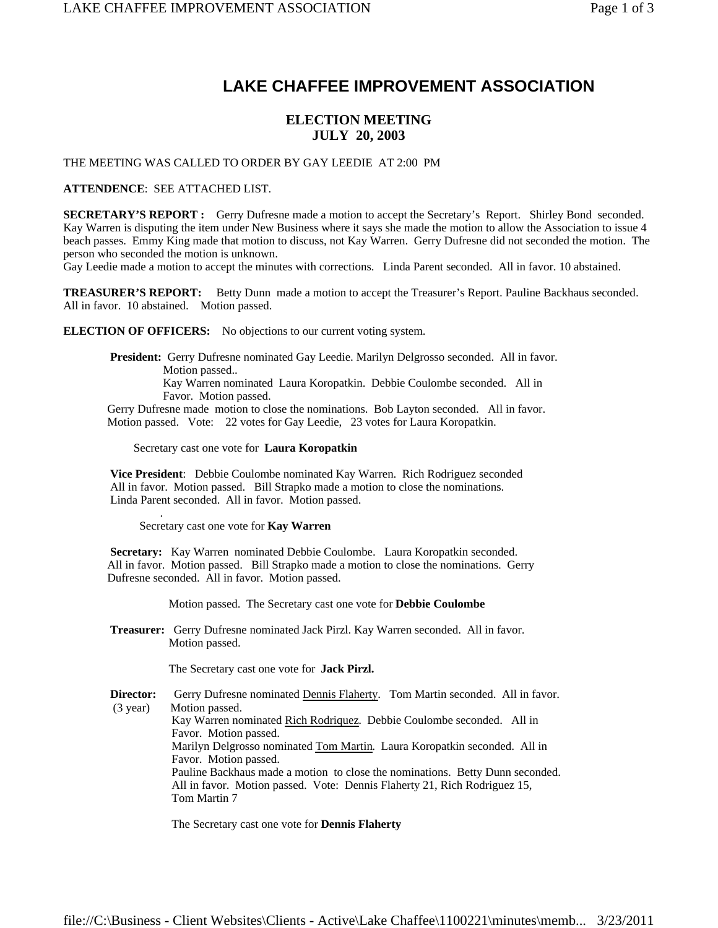## **LAKE CHAFFEE IMPROVEMENT ASSOCIATION**

## **ELECTION MEETING JULY 20, 2003**

THE MEETING WAS CALLED TO ORDER BY GAY LEEDIE AT 2:00 PM

**ATTENDENCE**: SEE ATTACHED LIST.

**SECRETARY'S REPORT :** Gerry Dufresne made a motion to accept the Secretary's Report. Shirley Bond seconded. Kay Warren is disputing the item under New Business where it says she made the motion to allow the Association to issue 4 beach passes. Emmy King made that motion to discuss, not Kay Warren. Gerry Dufresne did not seconded the motion. The person who seconded the motion is unknown.

Gay Leedie made a motion to accept the minutes with corrections. Linda Parent seconded. All in favor. 10 abstained.

**TREASURER'S REPORT:** Betty Dunn made a motion to accept the Treasurer's Report. Pauline Backhaus seconded. All in favor. 10 abstained. Motion passed.

**ELECTION OF OFFICERS:** No objections to our current voting system.

 **President:** Gerry Dufresne nominated Gay Leedie. Marilyn Delgrosso seconded. All in favor. Motion passed.. Kay Warren nominated Laura Koropatkin. Debbie Coulombe seconded. All in Favor. Motion passed. Gerry Dufresne made motion to close the nominations. Bob Layton seconded. All in favor.

Motion passed. Vote: 22 votes for Gay Leedie, 23 votes for Laura Koropatkin.

Secretary cast one vote for **Laura Koropatkin**

 **Vice President**: Debbie Coulombe nominated Kay Warren. Rich Rodriguez seconded All in favor. Motion passed. Bill Strapko made a motion to close the nominations. Linda Parent seconded. All in favor. Motion passed. .

Secretary cast one vote for **Kay Warren**

 **Secretary:** Kay Warren nominated Debbie Coulombe. Laura Koropatkin seconded. All in favor. Motion passed. Bill Strapko made a motion to close the nominations. Gerry Dufresne seconded. All in favor. Motion passed.

Motion passed. The Secretary cast one vote for **Debbie Coulombe**

 **Treasurer:** Gerry Dufresne nominated Jack Pirzl. Kay Warren seconded. All in favor. Motion passed.

The Secretary cast one vote for **Jack Pirzl.**

**Director:** Gerry Dufresne nominated **Dennis Flaherty**. Tom Martin seconded. All in favor. (3 year) Motion passed. Kay Warren nominated Rich Rodriquez. Debbie Coulombe seconded. All in Favor. Motion passed. Marilyn Delgrosso nominated Tom Martin. Laura Koropatkin seconded. All in Favor. Motion passed. Pauline Backhaus made a motion to close the nominations. Betty Dunn seconded. All in favor. Motion passed. Vote: Dennis Flaherty 21, Rich Rodriguez 15, Tom Martin 7

The Secretary cast one vote for **Dennis Flaherty**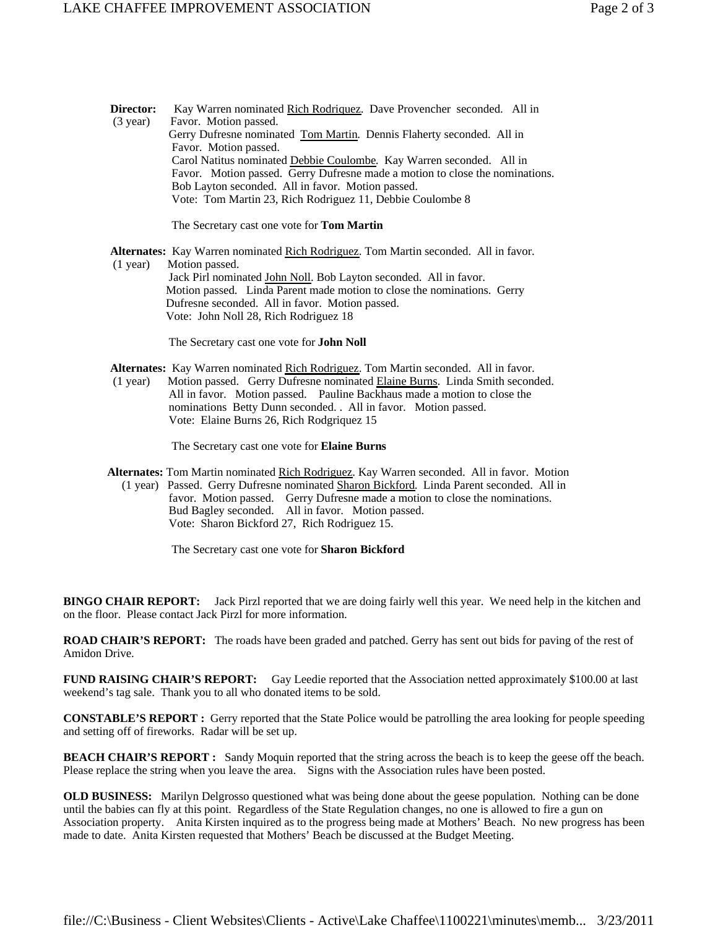**Director:** Kay Warren nominated Rich Rodriquez. Dave Provencher seconded. All in (3 year) Favor. Motion passed. Gerry Dufresne nominated Tom Martin. Dennis Flaherty seconded. All in Favor. Motion passed. Carol Natitus nominated Debbie Coulombe. Kay Warren seconded. All in Favor. Motion passed. Gerry Dufresne made a motion to close the nominations. Bob Layton seconded. All in favor. Motion passed. Vote: Tom Martin 23, Rich Rodriguez 11, Debbie Coulombe 8

The Secretary cast one vote for **Tom Martin** 

Alternates: Kay Warren nominated Rich Rodriguez. Tom Martin seconded. All in favor. (1 year) Motion passed. Jack Pirl nominated John Noll. Bob Layton seconded. All in favor. Motion passed. Linda Parent made motion to close the nominations. Gerry Dufresne seconded. All in favor. Motion passed. Vote: John Noll 28, Rich Rodriguez 18

The Secretary cast one vote for **John Noll**

 **Alternates:** Kay Warren nominated Rich Rodriguez. Tom Martin seconded. All in favor.

 (1 year) Motion passed. Gerry Dufresne nominated Elaine Burns. Linda Smith seconded. All in favor. Motion passed. Pauline Backhaus made a motion to close the nominations Betty Dunn seconded. . All in favor. Motion passed. Vote: Elaine Burns 26, Rich Rodgriquez 15

The Secretary cast one vote for **Elaine Burns**

 **Alternates:** Tom Martin nominated Rich Rodriguez. Kay Warren seconded. All in favor. Motion (1 year) Passed. Gerry Dufresne nominated Sharon Bickford. Linda Parent seconded. All in favor. Motion passed. Gerry Dufresne made a motion to close the nominations. Bud Bagley seconded. All in favor. Motion passed. Vote: Sharon Bickford 27, Rich Rodriguez 15.

The Secretary cast one vote for **Sharon Bickford**

**BINGO CHAIR REPORT:** Jack Pirzl reported that we are doing fairly well this year. We need help in the kitchen and on the floor. Please contact Jack Pirzl for more information.

**ROAD CHAIR'S REPORT:** The roads have been graded and patched. Gerry has sent out bids for paving of the rest of Amidon Drive.

**FUND RAISING CHAIR'S REPORT:** Gay Leedie reported that the Association netted approximately \$100.00 at last weekend's tag sale. Thank you to all who donated items to be sold.

**CONSTABLE'S REPORT :** Gerry reported that the State Police would be patrolling the area looking for people speeding and setting off of fireworks. Radar will be set up.

**BEACH CHAIR'S REPORT :** Sandy Moquin reported that the string across the beach is to keep the geese off the beach. Please replace the string when you leave the area. Signs with the Association rules have been posted.

**OLD BUSINESS:** Marilyn Delgrosso questioned what was being done about the geese population. Nothing can be done until the babies can fly at this point. Regardless of the State Regulation changes, no one is allowed to fire a gun on Association property. Anita Kirsten inquired as to the progress being made at Mothers' Beach. No new progress has been made to date. Anita Kirsten requested that Mothers' Beach be discussed at the Budget Meeting.